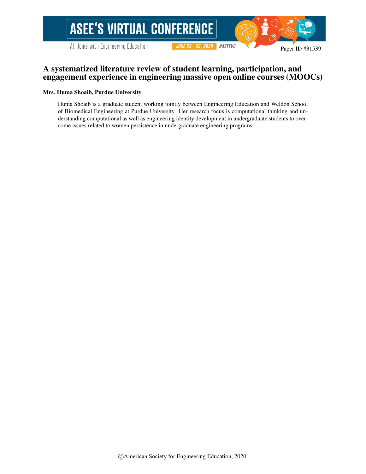#### A systematized literature review of student learning, participation, and engagement experience in engineering massive open online courses (MOOCs)

#### Mrs. Huma Shoaib, Purdue University

Huma Shoaib is a graduate student working jointly between Engineering Education and Weldon School of Biomedical Engineering at Purdue University. Her research focus is computational thinking and understanding computational as well as engineering identity development in undergraduate students to overcome issues related to women persistence in undergraduate engineering programs.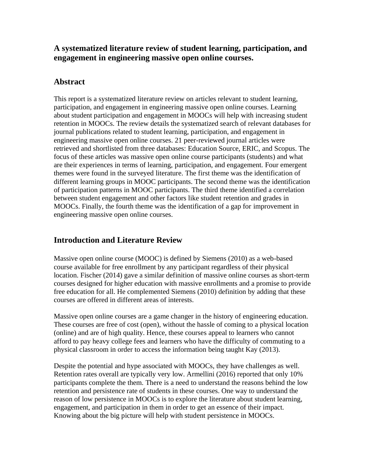## **A systematized literature review of student learning, participation, and engagement in engineering massive open online courses.**

## **Abstract**

This report is a systematized literature review on articles relevant to student learning, participation, and engagement in engineering massive open online courses. Learning about student participation and engagement in MOOCs will help with increasing student retention in MOOCs. The review details the systematized search of relevant databases for journal publications related to student learning, participation, and engagement in engineering massive open online courses. 21 peer-reviewed journal articles were retrieved and shortlisted from three databases: Education Source, ERIC, and Scopus. The focus of these articles was massive open online course participants (students) and what are their experiences in terms of learning, participation, and engagement. Four emergent themes were found in the surveyed literature. The first theme was the identification of different learning groups in MOOC participants. The second theme was the identification of participation patterns in MOOC participants. The third theme identified a correlation between student engagement and other factors like student retention and grades in MOOCs. Finally, the fourth theme was the identification of a gap for improvement in engineering massive open online courses.

## **Introduction and Literature Review**

Massive open online course (MOOC) is defined by Siemens (2010) as a web-based course available for free enrollment by any participant regardless of their physical location. Fischer (2014) gave a similar definition of massive online courses as short-term courses designed for higher education with massive enrollments and a promise to provide free education for all. He complemented Siemens (2010) definition by adding that these courses are offered in different areas of interests.

Massive open online courses are a game changer in the history of engineering education. These courses are free of cost (open), without the hassle of coming to a physical location (online) and are of high quality. Hence, these courses appeal to learners who cannot afford to pay heavy college fees and learners who have the difficulty of commuting to a physical classroom in order to access the information being taught Kay (2013).

Despite the potential and hype associated with MOOCs, they have challenges as well. Retention rates overall are typically very low. Armellini (2016) reported that only 10% participants complete the them. There is a need to understand the reasons behind the low retention and persistence rate of students in these courses. One way to understand the reason of low persistence in MOOCs is to explore the literature about student learning, engagement, and participation in them in order to get an essence of their impact. Knowing about the big picture will help with student persistence in MOOCs.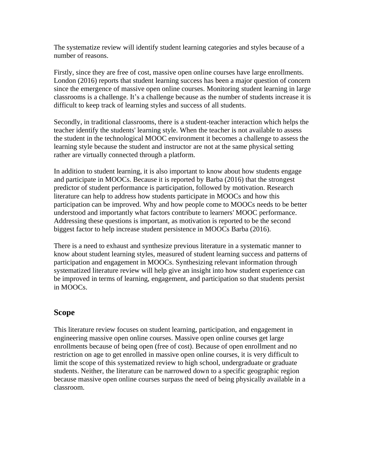The systematize review will identify student learning categories and styles because of a number of reasons.

Firstly, since they are free of cost, massive open online courses have large enrollments. London (2016) reports that student learning success has been a major question of concern since the emergence of massive open online courses. Monitoring student learning in large classrooms is a challenge. It's a challenge because as the number of students increase it is difficult to keep track of learning styles and success of all students.

Secondly, in traditional classrooms, there is a student-teacher interaction which helps the teacher identify the students' learning style. When the teacher is not available to assess the student in the technological MOOC environment it becomes a challenge to assess the learning style because the student and instructor are not at the same physical setting rather are virtually connected through a platform.

In addition to student learning, it is also important to know about how students engage and participate in MOOCs. Because it is reported by Barba (2016) that the strongest predictor of student performance is participation, followed by motivation. Research literature can help to address how students participate in MOOCs and how this participation can be improved. Why and how people come to MOOCs needs to be better understood and importantly what factors contribute to learners' MOOC performance. Addressing these questions is important, as motivation is reported to be the second biggest factor to help increase student persistence in MOOCs Barba (2016).

There is a need to exhaust and synthesize previous literature in a systematic manner to know about student learning styles, measured of student learning success and patterns of participation and engagement in MOOCs. Synthesizing relevant information through systematized literature review will help give an insight into how student experience can be improved in terms of learning, engagement, and participation so that students persist in MOOCs.

### **Scope**

This literature review focuses on student learning, participation, and engagement in engineering massive open online courses. Massive open online courses get large enrollments because of being open (free of cost). Because of open enrollment and no restriction on age to get enrolled in massive open online courses, it is very difficult to limit the scope of this systematized review to high school, undergraduate or graduate students. Neither, the literature can be narrowed down to a specific geographic region because massive open online courses surpass the need of being physically available in a classroom.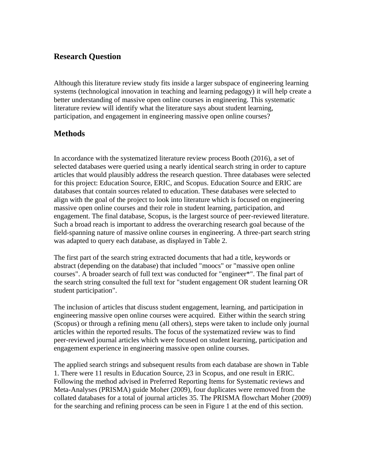## **Research Question**

Although this literature review study fits inside a larger subspace of engineering learning systems (technological innovation in teaching and learning pedagogy) it will help create a better understanding of massive open online courses in engineering. This systematic literature review will identify what the literature says about student learning, participation, and engagement in engineering massive open online courses?

### **Methods**

In accordance with the systematized literature review process Booth (2016), a set of selected databases were queried using a nearly identical search string in order to capture articles that would plausibly address the research question. Three databases were selected for this project: Education Source, ERIC, and Scopus. Education Source and ERIC are databases that contain sources related to education. These databases were selected to align with the goal of the project to look into literature which is focused on engineering massive open online courses and their role in student learning, participation, and engagement. The final database, Scopus, is the largest source of peer-reviewed literature. Such a broad reach is important to address the overarching research goal because of the field-spanning nature of massive online courses in engineering. A three-part search string was adapted to query each database, as displayed in Table 2.

The first part of the search string extracted documents that had a title, keywords or abstract (depending on the database) that included "moocs" or "massive open online courses". A broader search of full text was conducted for "engineer\*". The final part of the search string consulted the full text for "student engagement OR student learning OR student participation".

The inclusion of articles that discuss student engagement, learning, and participation in engineering massive open online courses were acquired. Either within the search string (Scopus) or through a refining menu (all others), steps were taken to include only journal articles within the reported results. The focus of the systematized review was to find peer-reviewed journal articles which were focused on student learning, participation and engagement experience in engineering massive open online courses.

The applied search strings and subsequent results from each database are shown in Table 1. There were 11 results in Education Source, 23 in Scopus, and one result in ERIC. Following the method advised in Preferred Reporting Items for Systematic reviews and Meta-Analyses (PRISMA) guide Moher (2009), four duplicates were removed from the collated databases for a total of journal articles 35. The PRISMA flowchart Moher (2009) for the searching and refining process can be seen in Figure 1 at the end of this section.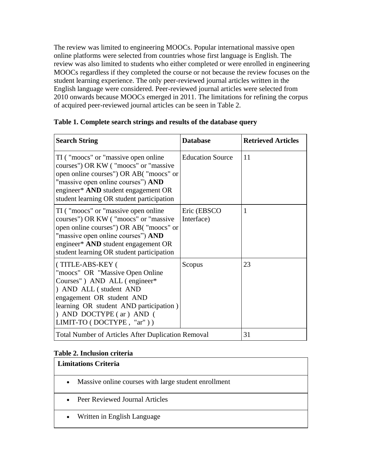The review was limited to engineering MOOCs. Popular international massive open online platforms were selected from countries whose first language is English. The review was also limited to students who either completed or were enrolled in engineering MOOCs regardless if they completed the course or not because the review focuses on the student learning experience. The only peer-reviewed journal articles written in the English language were considered. Peer-reviewed journal articles were selected from 2010 onwards because MOOCs emerged in 2011. The limitations for refining the corpus of acquired peer-reviewed journal articles can be seen in Table 2.

| <b>Search String</b>                                                                                                                                                                                                                               | <b>Database</b>            | <b>Retrieved Articles</b> |
|----------------------------------------------------------------------------------------------------------------------------------------------------------------------------------------------------------------------------------------------------|----------------------------|---------------------------|
| TI ("moocs" or "massive open online")<br>courses") OR KW ("moocs" or "massive<br>open online courses") OR AB("moocs" or<br>"massive open online courses") AND<br>engineer* AND student engagement OR<br>student learning OR student participation  | <b>Education Source</b>    | 11                        |
| TI ("moocs" or "massive open online")<br>courses") OR KW ("moocs" or "massive"<br>open online courses") OR AB("moocs" or<br>"massive open online courses") AND<br>engineer* AND student engagement OR<br>student learning OR student participation | Eric (EBSCO)<br>Interface) | -1                        |
| (TITLE-ABS-KEY (<br>"moocs" OR "Massive Open Online"<br>Courses") AND ALL (engineer*<br>) AND ALL (student AND<br>engagement OR student AND<br>learning OR student AND participation)<br>) AND DOCTYPE (ar) AND (<br>LIMIT-TO (DOCTYPE, "ar"))     | Scopus                     | 23                        |
| <b>Total Number of Articles After Duplication Removal</b>                                                                                                                                                                                          |                            | 31                        |

#### **Table 1. Complete search strings and results of the database query**

#### **Table 2. Inclusion criteria**

| <b>Limitations Criteria</b>                                       |  |  |
|-------------------------------------------------------------------|--|--|
| Massive online courses with large student enrollment<br>$\bullet$ |  |  |
| Peer Reviewed Journal Articles                                    |  |  |
| Written in English Language<br>$\bullet$                          |  |  |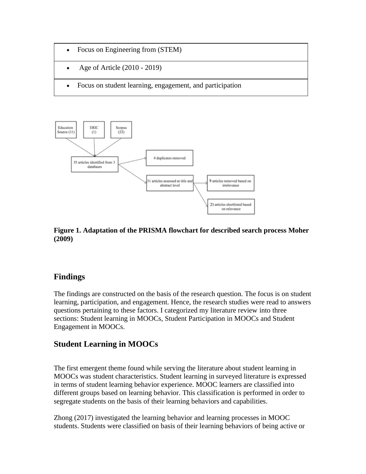- Focus on Engineering from (STEM)
- Age of Article (2010 2019)
- Focus on student learning, engagement, and participation



#### **Figure 1. Adaptation of the PRISMA flowchart for described search process Moher (2009)**

## **Findings**

The findings are constructed on the basis of the research question. The focus is on student learning, participation, and engagement. Hence, the research studies were read to answers questions pertaining to these factors. I categorized my literature review into three sections: Student learning in MOOCs, Student Participation in MOOCs and Student Engagement in MOOCs.

## **Student Learning in MOOCs**

The first emergent theme found while serving the literature about student learning in MOOCs was student characteristics. Student learning in surveyed literature is expressed in terms of student learning behavior experience. MOOC learners are classified into different groups based on learning behavior. This classification is performed in order to segregate students on the basis of their learning behaviors and capabilities.

Zhong (2017) investigated the learning behavior and learning processes in MOOC students. Students were classified on basis of their learning behaviors of being active or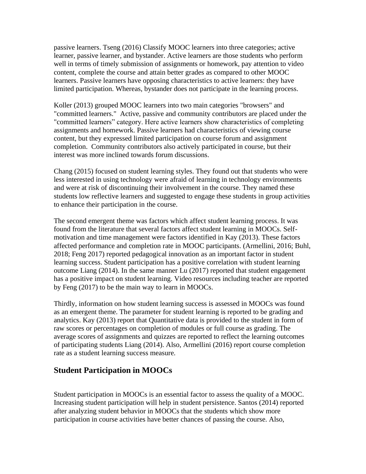passive learners. Tseng (2016) Classify MOOC learners into three categories; active learner, passive learner, and bystander. Active learners are those students who perform well in terms of timely submission of assignments or homework, pay attention to video content, complete the course and attain better grades as compared to other MOOC learners. Passive learners have opposing characteristics to active learners: they have limited participation. Whereas, bystander does not participate in the learning process.

Koller (2013) grouped MOOC learners into two main categories "browsers" and "committed learners." Active, passive and community contributors are placed under the "committed learners" category. Here active learners show characteristics of completing assignments and homework. Passive learners had characteristics of viewing course content, but they expressed limited participation on course forum and assignment completion. Community contributors also actively participated in course, but their interest was more inclined towards forum discussions.

Chang (2015) focused on student learning styles. They found out that students who were less interested in using technology were afraid of learning in technology environments and were at risk of discontinuing their involvement in the course. They named these students low reflective learners and suggested to engage these students in group activities to enhance their participation in the course.

The second emergent theme was factors which affect student learning process. It was found from the literature that several factors affect student learning in MOOCs. Selfmotivation and time management were factors identified in Kay (2013). These factors affected performance and completion rate in MOOC participants. (Armellini, 2016; Buhl, 2018; Feng 2017) reported pedagogical innovation as an important factor in student learning success. Student participation has a positive correlation with student learning outcome Liang (2014). In the same manner Lu (2017) reported that student engagement has a positive impact on student learning. Video resources including teacher are reported by Feng (2017) to be the main way to learn in MOOCs.

Thirdly, information on how student learning success is assessed in MOOCs was found as an emergent theme. The parameter for student learning is reported to be grading and analytics. Kay (2013) report that Quantitative data is provided to the student in form of raw scores or percentages on completion of modules or full course as grading. The average scores of assignments and quizzes are reported to reflect the learning outcomes of participating students Liang (2014). Also, Armellini (2016) report course completion rate as a student learning success measure.

### **Student Participation in MOOCs**

Student participation in MOOCs is an essential factor to assess the quality of a MOOC. Increasing student participation will help in student persistence. Santos (2014) reported after analyzing student behavior in MOOCs that the students which show more participation in course activities have better chances of passing the course. Also,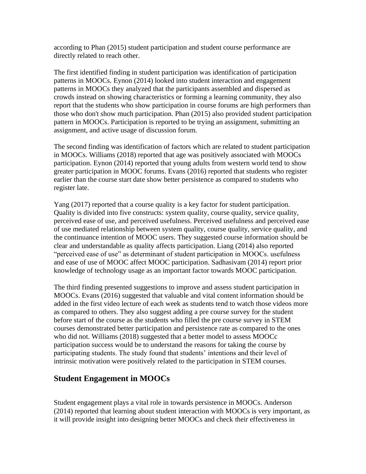according to Phan (2015) student participation and student course performance are directly related to reach other.

The first identified finding in student participation was identification of participation patterns in MOOCs. Eynon (2014) looked into student interaction and engagement patterns in MOOCs they analyzed that the participants assembled and dispersed as crowds instead on showing characteristics or forming a learning community, they also report that the students who show participation in course forums are high performers than those who don't show much participation. Phan (2015) also provided student participation pattern in MOOCs. Participation is reported to be trying an assignment, submitting an assignment, and active usage of discussion forum.

The second finding was identification of factors which are related to student participation in MOOCs. Williams (2018) reported that age was positively associated with MOOCs participation. Eynon (2014) reported that young adults from western world tend to show greater participation in MOOC forums. Evans (2016) reported that students who register earlier than the course start date show better persistence as compared to students who register late.

Yang (2017) reported that a course quality is a key factor for student participation. Quality is divided into five constructs: system quality, course quality, service quality, perceived ease of use, and perceived usefulness. Perceived usefulness and perceived ease of use mediated relationship between system quality, course quality, service quality, and the continuance intention of MOOC users. They suggested course information should be clear and understandable as quality affects participation. Liang (2014) also reported "perceived ease of use" as determinant of student participation in MOOCs. usefulness and ease of use of MOOC affect MOOC participation. Sadhasivam (2014) report prior knowledge of technology usage as an important factor towards MOOC participation.

The third finding presented suggestions to improve and assess student participation in MOOCs. Evans (2016) suggested that valuable and vital content information should be added in the first video lecture of each week as students tend to watch those videos more as compared to others. They also suggest adding a pre course survey for the student before start of the course as the students who filled the pre course survey in STEM courses demonstrated better participation and persistence rate as compared to the ones who did not. Williams (2018) suggested that a better model to assess MOOCc participation success would be to understand the reasons for taking the course by participating students. The study found that students' intentions and their level of intrinsic motivation were positively related to the participation in STEM courses.

#### **Student Engagement in MOOCs**

Student engagement plays a vital role in towards persistence in MOOCs. Anderson (2014) reported that learning about student interaction with MOOCs is very important, as it will provide insight into designing better MOOCs and check their effectiveness in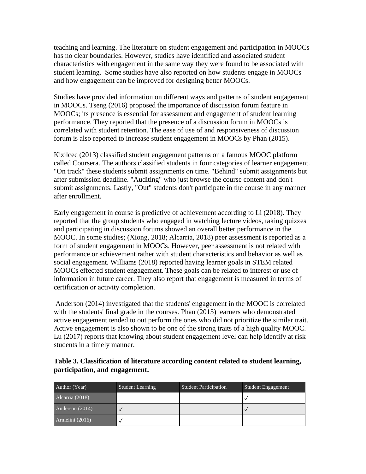teaching and learning. The literature on student engagement and participation in MOOCs has no clear boundaries. However, studies have identified and associated student characteristics with engagement in the same way they were found to be associated with student learning. Some studies have also reported on how students engage in MOOCs and how engagement can be improved for designing better MOOCs.

Studies have provided information on different ways and patterns of student engagement in MOOCs. Tseng (2016) proposed the importance of discussion forum feature in MOOCs; its presence is essential for assessment and engagement of student learning performance. They reported that the presence of a discussion forum in MOOCs is correlated with student retention. The ease of use of and responsiveness of discussion forum is also reported to increase student engagement in MOOCs by Phan (2015).

Kizilcec (2013) classified student engagement patterns on a famous MOOC platform called Coursera. The authors classified students in four categories of learner engagement. "On track" these students submit assignments on time. "Behind" submit assignments but after submission deadline. "Auditing" who just browse the course content and don't submit assignments. Lastly, "Out" students don't participate in the course in any manner after enrollment.

Early engagement in course is predictive of achievement according to Li (2018). They reported that the group students who engaged in watching lecture videos, taking quizzes and participating in discussion forums showed an overall better performance in the MOOC. In some studies; (Xiong, 2018; Alcarria, 2018) peer assessment is reported as a form of student engagement in MOOCs. However, peer assessment is not related with performance or achievement rather with student characteristics and behavior as well as social engagement. Williams (2018) reported having learner goals in STEM related MOOCs effected student engagement. These goals can be related to interest or use of information in future career. They also report that engagement is measured in terms of certification or activity completion.

Anderson (2014) investigated that the students' engagement in the MOOC is correlated with the students' final grade in the courses. Phan (2015) learners who demonstrated active engagement tended to out perform the ones who did not prioritize the similar trait. Active engagement is also shown to be one of the strong traits of a high quality MOOC. Lu (2017) reports that knowing about student engagement level can help identify at risk students in a timely manner.

| Author (Year)   | <b>Student Learning</b> | <b>Student Participation</b> | <b>Student Engagement</b> |
|-----------------|-------------------------|------------------------------|---------------------------|
| Alcarria (2018) |                         |                              |                           |
| Anderson (2014) |                         |                              |                           |
| Armelini (2016) |                         |                              |                           |

#### **Table 3. Classification of literature according content related to student learning, participation, and engagement.**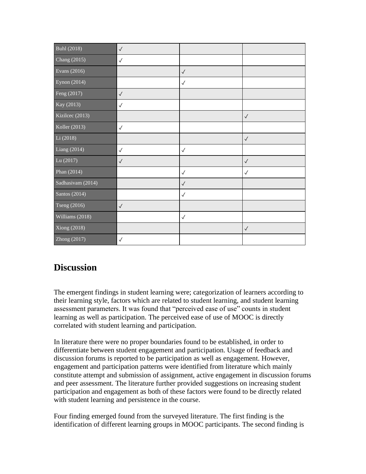| Buhl (2018)       | $\checkmark$ |              |              |
|-------------------|--------------|--------------|--------------|
| Chang (2015)      | $\checkmark$ |              |              |
| Evans (2016)      |              | $\checkmark$ |              |
| Eynon (2014)      |              | $\checkmark$ |              |
| Feng (2017)       | $\checkmark$ |              |              |
| Kay (2013)        | $\checkmark$ |              |              |
| Kizilcec (2013)   |              |              | $\checkmark$ |
| Koller (2013)     | $\checkmark$ |              |              |
| Li (2018)         |              |              | $\checkmark$ |
| Liang $(2014)$    | $\checkmark$ | $\checkmark$ |              |
| Lu (2017)         | $\checkmark$ |              | $\checkmark$ |
| Phan (2014)       |              | $\checkmark$ | $\checkmark$ |
| Sadhasivam (2014) |              | $\checkmark$ |              |
| Santos (2014)     |              | $\checkmark$ |              |
| Tseng (2016)      | $\checkmark$ |              |              |
| Williams (2018)   |              | $\checkmark$ |              |
| Xiong (2018)      |              |              | $\checkmark$ |
| Zhong (2017)      | $\checkmark$ |              |              |

# **Discussion**

The emergent findings in student learning were; categorization of learners according to their learning style, factors which are related to student learning, and student learning assessment parameters. It was found that "perceived ease of use" counts in student learning as well as participation. The perceived ease of use of MOOC is directly correlated with student learning and participation.

In literature there were no proper boundaries found to be established, in order to differentiate between student engagement and participation. Usage of feedback and discussion forums is reported to be participation as well as engagement. However, engagement and participation patterns were identified from literature which mainly constitute attempt and submission of assignment, active engagement in discussion forums and peer assessment. The literature further provided suggestions on increasing student participation and engagement as both of these factors were found to be directly related with student learning and persistence in the course.

Four finding emerged found from the surveyed literature. The first finding is the identification of different learning groups in MOOC participants. The second finding is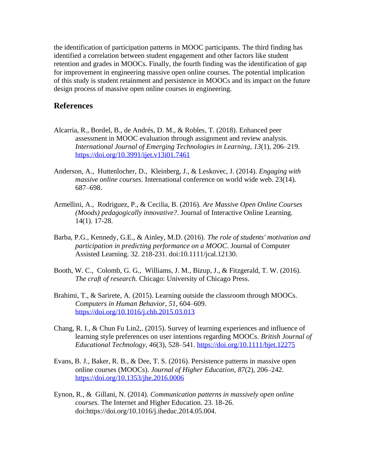the identification of participation patterns in MOOC participants. The third finding has identified a correlation between student engagement and other factors like student retention and grades in MOOCs. Finally, the fourth finding was the identification of gap for improvement in engineering massive open online courses. The potential implication of this study is student retainment and persistence in MOOCs and its impact on the future design process of massive open online courses in engineering.

#### **References**

- Alcarria, R., Bordel, B., de Andrés, D. M., & Robles, T. (2018). Enhanced peer assessment in MOOC evaluation through assignment and review analysis. *International Journal of Emerging Technologies in Learning*, *13*(1), 206–219. <https://doi.org/10.3991/ijet.v13i01.7461>
- Anderson, A., Huttenlocher, D., Kleinberg, J., & Leskovec, J. (2014). *Engaging with massive online courses*. International conference on world wide web. 23(14). 687–698.
- Armellini, A., Rodriguez, P., & Cecilia, B. (2016). *Are Massive Open Online Courses (Moods) pedagogically innovative?*. Journal of Interactive Online Learning. 14(1). 17-28.
- Barba, P.G., Kennedy, G.E., & Ainley, M.D. (2016). *The role of students' motivation and participation in predicting performance on a MOOC*. Journal of Computer Assisted Learning. 32. 218-231. doi:10.1111/jcal.12130.
- Booth, W. C., Colomb, G. G., Williams, J. M., Bizup, J., & Fitzgerald, T. W. (2016). *The craft of research.* Chicago: University of Chicago Press.
- Brahimi, T., & Sarirete, A. (2015). Learning outside the classroom through MOOCs. *Computers in Human Behavior*, *51*, 604–609. <https://doi.org/10.1016/j.chb.2015.03.013>
- Chang, R. I., & Chun Fu Lin2,. (2015). Survey of learning experiences and influence of learning style preferences on user intentions regarding MOOCs. *British Journal of Educational Technology*, *46*(3), 528–541.<https://doi.org/10.1111/bjet.12275>
- Evans, B. J., Baker, R. B., & Dee, T. S. (2016). Persistence patterns in massive open online courses (MOOCs). *Journal of Higher Education*, *87*(2), 206–242. <https://doi.org/10.1353/jhe.2016.0006>
- Eynon, R., & Gillani, N. (2014)*. Communication patterns in massively open online courses.* The Internet and Higher Education. 23. 18-26. doi:https:/[/doi.org/10.1016/j.iheduc.2014.05.004.](http://doi.org/10.1016/j.iheduc.2014.05.004)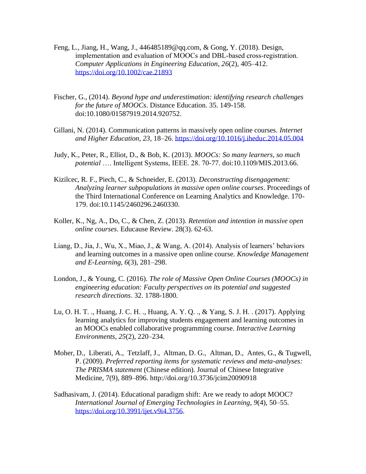- Feng, L., Jiang, H., Wang, J., 446485189@qq.com, & Gong, Y. (2018). Design, implementation and evaluation of MOOCs and DBL-based cross-registration. *Computer Applications in Engineering Education*, *26*(2), 405–412. <https://doi.org/10.1002/cae.21893>
- Fischer, G., (2014). *Beyond hype and underestimation: identifying research challenges for the future of MOOCs*. Distance Education. 35. 149-158. doi:10.1080/01587919.2014.920752.
- Gillani, N. (2014). Communication patterns in massively open online courses. *Internet and Higher Education*, *23*, 18–26.<https://doi.org/10.1016/j.iheduc.2014.05.004>
- Judy, K., Peter, R., Elliot, D., & Bob, K. (2013). *MOOCs: So many learners, so much potential* …. Intelligent Systems, IEEE. 28. 70-77. doi:10.1109/MIS.2013.66.
- Kizilcec, R. F., Piech, C., & Schneider, E. (2013). *Deconstructing disengagement: Analyzing learner subpopulations in massive open online courses*. Proceedings of the Third International Conference on Learning Analytics and Knowledge. 170- 179. doi:10.1145/2460296.2460330.
- Koller, K., Ng, A., Do, C., & Chen, Z. (2013). *Retention and intention in massive open online courses*. Educause Review. 28(3). 62-63.
- Liang, D., Jia, J., Wu, X., Miao, J., & Wang, A. (2014). Analysis of learners' behaviors and learning outcomes in a massive open online course. *Knowledge Management and E-Learning*, *6*(3), 281–298.
- London, J., & Young, C. (2016). *The role of Massive Open Online Courses (MOOCs) in engineering education: Faculty perspectives on its potential and suggested research directions*. 32. 1788-1800.
- Lu, O. H. T. ., Huang, J. C. H. ., Huang, A. Y. Q. ., & Yang, S. J. H. . (2017). Applying learning analytics for improving students engagement and learning outcomes in an MOOCs enabled collaborative programming course. *Interactive Learning Environments*, *25*(2), 220–234.
- Moher, D., Liberati, A., Tetzlaff, J., Altman, D. G., Altman, D., Antes, G., & Tugwell, P. (2009). *Preferred reporting items for systematic reviews and meta-analyses: The PRISMA statement* (Chinese edition). Journal of Chinese Integrative Medicine, 7(9), 889–896. http://doi.org/10.3736/jcim20090918
- Sadhasivam, J. (2014). Educational paradigm shift: Are we ready to adopt MOOC? *International Journal of Emerging Technologies in Learning*, *9*(4), 50–55. [https://doi.org/10.3991/ijet.v9i4.3756.](https://doi.org/10.3991/ijet.v9i4.3756)